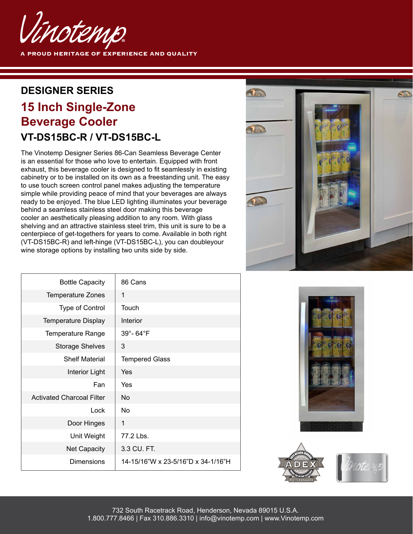

**A PROUD HERITAGE OF EXPERIENCE AND QUALITY** 

#### **DESIGNER SERIES**

# **15 Inch Single-Zone Beverage Cooler VT-DS15BC-R / VT-DS15BC-L**

The Vinotemp Designer Series 86-Can Seamless Beverage Center is an essential for those who love to entertain. Equipped with front exhaust, this beverage cooler is designed to fit seamlessly in existing cabinetry or to be installed on its own as a freestanding unit. The easy to use touch screen control panel makes adjusting the temperature simple while providing peace of mind that your beverages are always ready to be enjoyed. The blue LED lighting illuminates your beverage behind a seamless stainless steel door making this beverage cooler an aesthetically pleasing addition to any room. With glass shelving and an attractive stainless steel trim, this unit is sure to be a centerpiece of get-togethers for years to come. Available in both right (VT-DS15BC-R) and left-hinge (VT-DS15BC-L), you can doubleyour wine storage options by installing two units side by side.



| <b>Bottle Capacity</b>           | 86 Cans                            |
|----------------------------------|------------------------------------|
| <b>Temperature Zones</b>         | 1                                  |
| <b>Type of Control</b>           | Touch                              |
| <b>Temperature Display</b>       | Interior                           |
| <b>Temperature Range</b>         | 39°-64°F                           |
| <b>Storage Shelves</b>           | 3                                  |
| <b>Shelf Material</b>            | <b>Tempered Glass</b>              |
| Interior Light                   | Yes                                |
| Fan                              | Yes                                |
| <b>Activated Charcoal Filter</b> | No.                                |
| Lock                             | N <sub>o</sub>                     |
| Door Hinges                      | 1                                  |
| Unit Weight                      | 77.2 Lbs.                          |
| <b>Net Capacity</b>              | 3.3 CU. FT.                        |
| <b>Dimensions</b>                | 14-15/16"W x 23-5/16"D x 34-1/16"H |